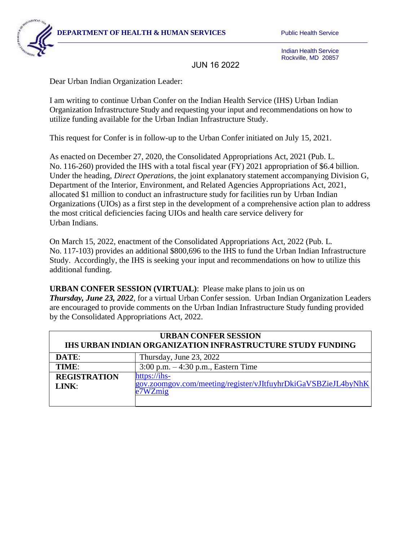**DEPARTMENT OF HEALTH & HUMAN SERVICES** Public Health Service



Indian Health Service Rockville, MD 20857

JUN 16 2022

Dear Urban Indian Organization Leader:

I am writing to continue Urban Confer on the Indian Health Service (IHS) Urban Indian Organization Infrastructure Study and requesting your input and recommendations on how to utilize funding available for the Urban Indian Infrastructure Study.

This request for Confer is in follow-up to the Urban Confer initiated on July 15, 2021.

As enacted on December 27, 2020, the Consolidated Appropriations Act, 2021 (Pub. L. No. 116-260) provided the IHS with a total fiscal year (FY) 2021 appropriation of \$6.4 billion. Under the heading, *Direct Operations*, the joint explanatory statement accompanying Division G, Department of the Interior, Environment, and Related Agencies Appropriations Act, 2021, allocated \$1 million to conduct an infrastructure study for facilities run by Urban Indian Organizations (UIOs) as a first step in the development of a comprehensive action plan to address the most critical deficiencies facing UIOs and health care service delivery for Urban Indians.

On March 15, 2022, enactment of the Consolidated Appropriations Act, 2022 (Pub. L. No. 117-103) provides an additional \$800,696 to the IHS to fund the Urban Indian Infrastructure Study. Accordingly, the IHS is seeking your input and recommendations on how to utilize this additional funding.

**URBAN CONFER SESSION (VIRTUAL)**: Please make plans to join us on *Thursday, June 23, 2022,* for a virtual Urban Confer session. Urban Indian Organization Leaders are encouraged to provide comments on the Urban Indian Infrastructure Study funding provided by the Consolidated Appropriations Act, 2022.

| <b>URBAN CONFER SESSION</b><br>IHS URBAN INDIAN ORGANIZATION INFRASTRUCTURE STUDY FUNDING |                                                                                             |
|-------------------------------------------------------------------------------------------|---------------------------------------------------------------------------------------------|
| DATE:                                                                                     | Thursday, June 23, 2022                                                                     |
| TIME:                                                                                     | 3:00 p.m. $-4:30$ p.m., Eastern Time                                                        |
| <b>REGISTRATION</b><br>LINK:                                                              | https://ihs-<br>gov.zoomgov.com/meeting/register/vJItfuyhrDkiGaVSBZieJL4byNhK<br>$e7WZ$ mig |